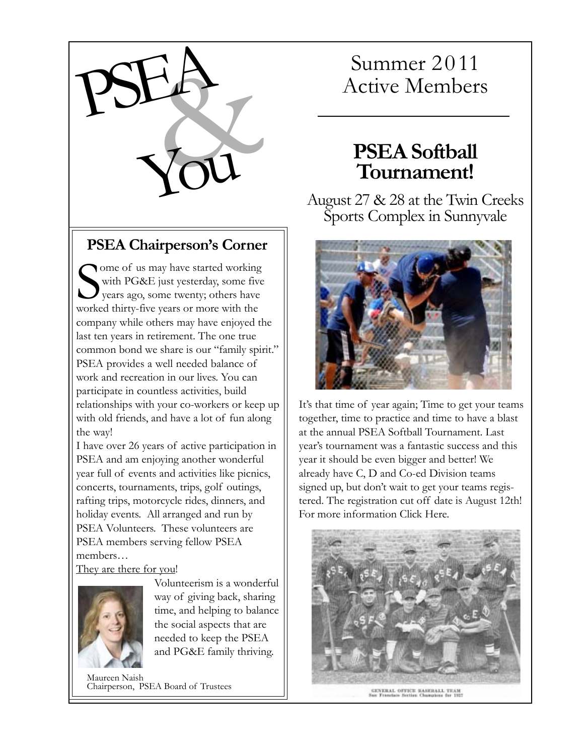

#### **PSEA Chairperson's Corner**

Some of us may have started working<br>with PG&E just yesterday, some five<br>years ago, some twenty; others have<br>worked thirty-five years or more with the with PG&E just yesterday, some five **y** years ago, some twenty; others have worked thirty-five years or more with the company while others may have enjoyed the last ten years in retirement. The one true common bond we share is our "family spirit." PSEA provides a well needed balance of work and recreation in our lives. You can participate in countless activities, build relationships with your co-workers or keep up with old friends, and have a lot of fun along the way!

I have over 26 years of active participation in PSEA and am enjoying another wonderful year full of events and activities like picnics, concerts, tournaments, trips, golf outings, rafting trips, motorcycle rides, dinners, and holiday events. All arranged and run by PSEA Volunteers. These volunteers are PSEA members serving fellow PSEA members…

They are there for you!



Volunteerism is a wonderful way of giving back, sharing time, and helping to balance the social aspects that are needed to keep the PSEA and PG&E family thriving.

Maureen Naish Chairperson, PSEA Board of Trustees

# Summer 2011

### **PSEA Softball Tournament!**

August 27 & 28 at the Twin Creeks Sports Complex in Sunnyvale



It's that time of year again; Time to get your teams together, time to practice and time to have a blast at the annual PSEA Softball Tournament. Last year's tournament was a fantastic success and this year it should be even bigger and better! We already have C, D and Co-ed Division teams signed up, but don't wait to get your teams registered. The registration cut off date is August 12th! For more information [Click Here.](http://psea.info/docs/PSEA-SOFTBALL.pdf)



GENERAL OFFICE BASEBALL TEAM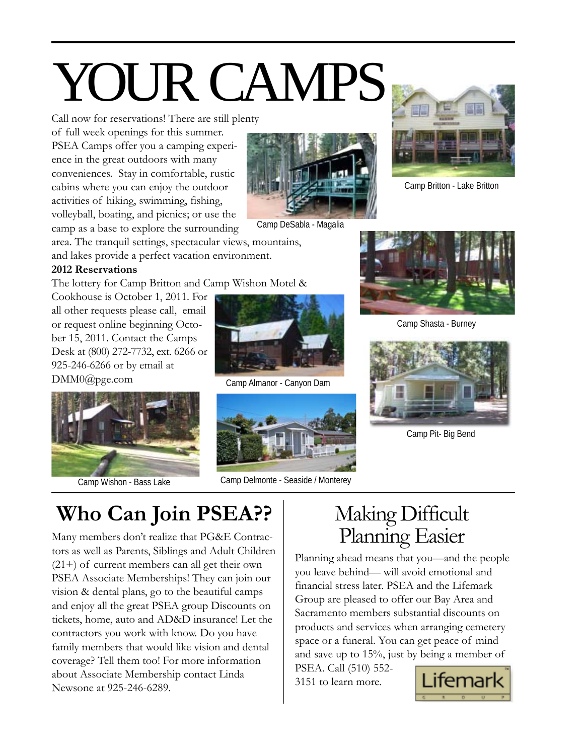# YOUR CAMPS

Call now for reservations! There are still plenty

of full week openings for this summer. PSEA Camps offer you a camping experience in the great outdoors with many conveniences. Stay in comfortable, rustic cabins where you can enjoy the outdoor activities of hiking, swimming, fishing, volleyball, boating, and picnics; or use the camp as a base to explore the surrounding



Camp DeSabla - Magalia

area. The tranquil settings, spectacular views, mountains, and lakes provide a perfect vacation environment.

#### **2012 Reservations**

The lottery for Camp Britton and Camp Wishon Motel &

Cookhouse is October 1, 2011. For all other requests please call, email or request online beginning October 15, 2011. Contact the Camps Desk at (800) 272-7732, ext. 6266 or 925-246-6266 or by email at DMM0@pge.com



Camp Wishon - Bass Lake



Camp Almanor - Canyon Dam



Camp Delmonte - Seaside / Monterey



Camp Britton - Lake Britton



Camp Shasta - Burney



Camp Pit- Big Bend

**Who Can Join PSEA??**

Many members don't realize that PG&E Contrac- Planning Easier tors as well as Parents, Siblings and Adult Children (21+) of current members can all get their own PSEA Associate Memberships! They can join our vision & dental plans, go to the beautiful camps and enjoy all the great PSEA group Discounts on tickets, home, auto and AD&D insurance! Let the contractors you work with know. Do you have family members that would like vision and dental coverage? Tell them too! For more information about Associate Membership contact Linda Newsone at 925-246-6289.

# Making Difficult

Planning ahead means that you—and the people you leave behind— will avoid emotional and financial stress later. PSEA and the Lifemark Group are pleased to offer our Bay Area and Sacramento members substantial discounts on products and services when arranging cemetery space or a funeral. You can get peace of mind and save up to 15%, just by being a member of

PSEA. Call (510) 552- 3151 to learn more.

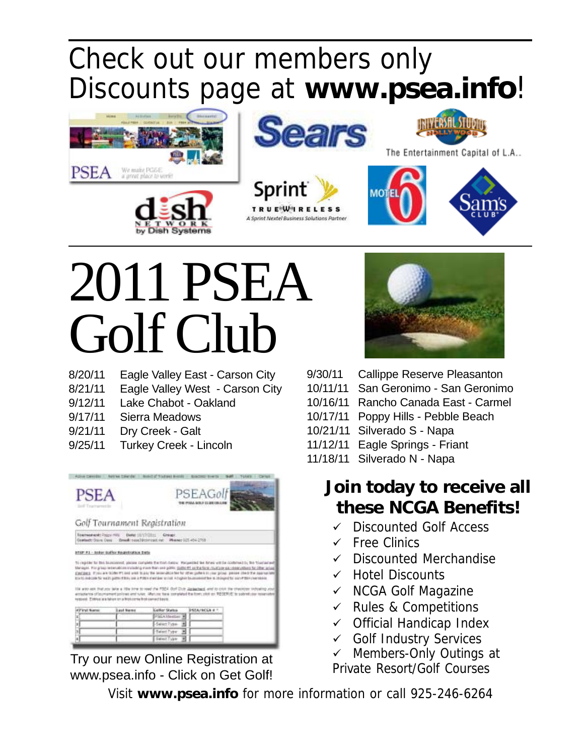# [Check out our members only](http://www.psea.info/login.html) [Discounts page at](http://www.psea.info/login.html) **www.psea.info**!









The Entertainment Capital of L.A..



# 2011 PSEA Golf Club

8/20/11 Eagle Valley East - Carson City

**Dish Syste** 

- 8/21/11 Eagle Valley West Carson City
- 9/12/11 Lake Chabot Oakland
- 9/17/11 Sierra Meadows
- 9/21/11 Dry Creek Galt
- 9/25/11 Turkey Creek Lincoln



Try our new Online Registration at www.psea.info - Click on Get Golf!



- 9/30/11 Callippe Reserve Pleasanton
- 10/11/11 San Geronimo San Geronimo
- 10/16/11 Rancho Canada East Carmel
- 10/17/11 Poppy Hills Pebble Beach
- 10/21/11 Silverado S Napa
- 11/12/11 Eagle Springs Friant
- 11/18/11 Silverado N Napa

### **Join today to receive all these NCGA Benefits!**

- $\checkmark$  Discounted Golf Access
- $\checkmark$  Free Clinics
- $\checkmark$  Discounted Merchandise
- $\checkmark$  Hotel Discounts
- $\checkmark$  NCGA Golf Magazine
- $\checkmark$  Rules & Competitions
- $\checkmark$  Official Handicap Index
- $\checkmark$  Golf Industry Services
- $\checkmark$  Members-Only Outings at Private Resort/Golf Courses

Visit **[www.psea.info](http://www.psea.info/golf.html)** for more information or call 925-246-6264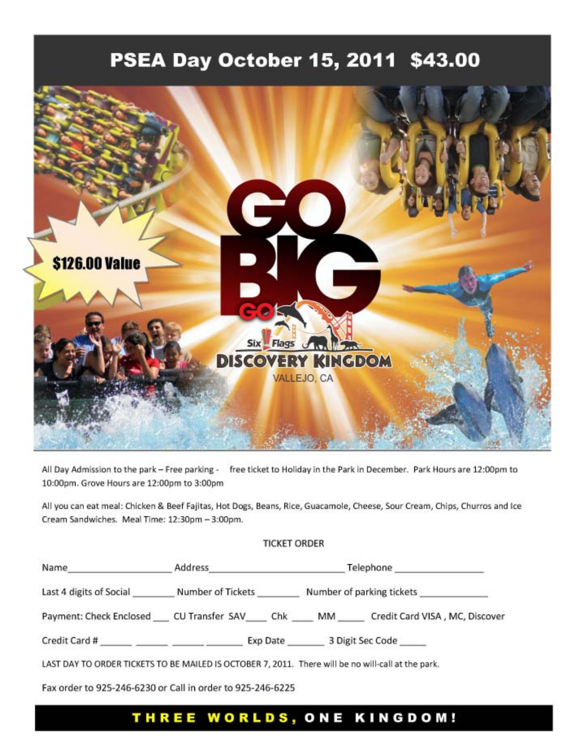### PSEA Day October 15, 2011 \$43.00



All Day Admission to the park - Free parking - free ticket to Holiday in the Park in December. Park Hours are 12:00pm to 10:00pm. Grove Hours are 12:00pm to 3:00pm

All you can eat meal: Chicken & Beef Fajitas, Hot Dogs, Beans, Rice, Guacamole, Cheese, Sour Cream, Chips, Churros and Ice Cream Sandwiches. Meal Time: 12:30pm - 3:00pm.

#### **TICKET ORDER**

| Name                                                                                               | Address                | Telephone                 |                                |
|----------------------------------------------------------------------------------------------------|------------------------|---------------------------|--------------------------------|
| Last 4 digits of Social                                                                            | Number of Tickets      | Number of parking tickets |                                |
| Payment: Check Enclosed                                                                            | CU Transfer SAV<br>Chk | MM                        | Credit Card VISA, MC, Discover |
| Credit Card # ______ _____ _____ ___                                                               | Exp Date               | 3 Digit Sec Code          |                                |
| LAST DAY TO ORDER TICKETS TO BE MAILED IS OCTOBER 7, 2011. There will be no will-call at the park. |                        |                           |                                |
| Eax order to 925-246-6230 or Call in order to 925-246-6225                                         |                        |                           |                                |

#### THREE WORLDS, ONE KINGDOM!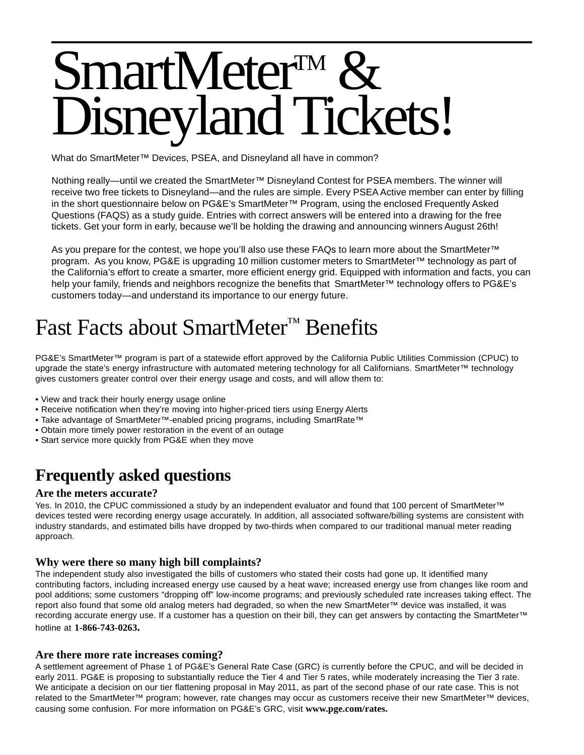# SmartMeter<sup>TM</sup> & Disneyland Tickets!

What do SmartMeter™ Devices, PSEA, and Disneyland all have in common?

Nothing really—until we created the SmartMeter™ Disneyland Contest for PSEA members. The winner will receive two free tickets to Disneyland—and the rules are simple. Every PSEA Active member can enter by filling in the short questionnaire below on PG&E's SmartMeter™ Program, using the enclosed Frequently Asked Questions (FAQS) as a study guide. Entries with correct answers will be entered into a drawing for the free tickets. Get your form in early, because we'll be holding the drawing and announcing winners August 26th!

As you prepare for the contest, we hope you'll also use these FAQs to learn more about the SmartMeter™ program. As you know, PG&E is upgrading 10 million customer meters to SmartMeter™ technology as part of the California's effort to create a smarter, more efficient energy grid. Equipped with information and facts, you can help your family, friends and neighbors recognize the benefits that SmartMeter™ technology offers to PG&E's customers today—and understand its importance to our energy future.

## Fast Facts about SmartMeter™ Benefits

PG&E's SmartMeter™ program is part of a statewide effort approved by the California Public Utilities Commission (CPUC) to upgrade the state's energy infrastructure with automated metering technology for all Californians. SmartMeter™ technology gives customers greater control over their energy usage and costs, and will allow them to:

- View and track their hourly energy usage online
- Receive notification when they're moving into higher-priced tiers using Energy Alerts
- Take advantage of SmartMeter™-enabled pricing programs, including SmartRate™
- Obtain more timely power restoration in the event of an outage
- Start service more quickly from PG&E when they move

### **Frequently asked questions**

#### **Are the meters accurate?**

Yes. In 2010, the CPUC commissioned a study by an independent evaluator and found that 100 percent of SmartMeter™ devices tested were recording energy usage accurately. In addition, all associated software/billing systems are consistent with industry standards, and estimated bills have dropped by two-thirds when compared to our traditional manual meter reading approach.

#### **Why were there so many high bill complaints?**

The independent study also investigated the bills of customers who stated their costs had gone up. It identified many contributing factors, including increased energy use caused by a heat wave; increased energy use from changes like room and pool additions; some customers "dropping off" low-income programs; and previously scheduled rate increases taking effect. The report also found that some old analog meters had degraded, so when the new SmartMeter™ device was installed, it was recording accurate energy use. If a customer has a question on their bill, they can get answers by contacting the SmartMeter™ hotline at **1-866-743-0263.**

#### **Are there more rate increases coming?**

A settlement agreement of Phase 1 of PG&E's General Rate Case (GRC) is currently before the CPUC, and will be decided in early 2011. PG&E is proposing to substantially reduce the Tier 4 and Tier 5 rates, while moderately increasing the Tier 3 rate. We anticipate a decision on our tier flattening proposal in May 2011, as part of the second phase of our rate case. This is not related to the SmartMeter™ program; however, rate changes may occur as customers receive their new SmartMeter™ devices, causing some confusion. For more information on PG&E's GRC, visit **www.pge.com/rates.**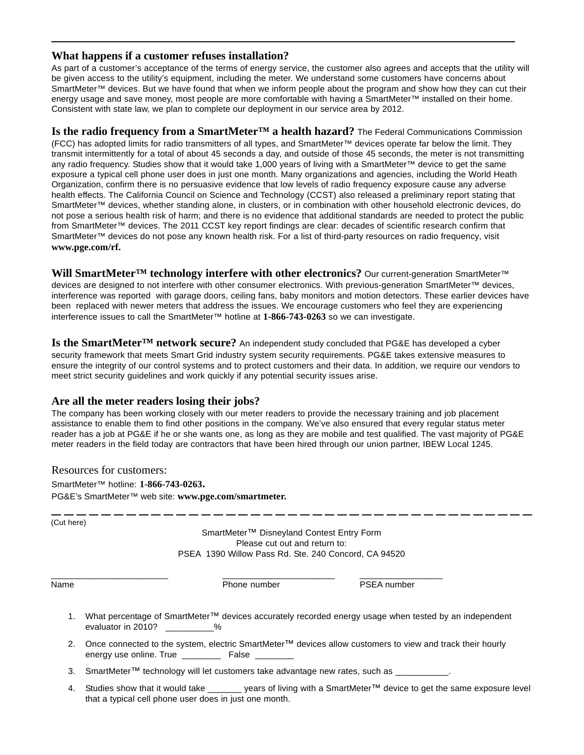#### **What happens if a customer refuses installation?**

As part of a customer's acceptance of the terms of energy service, the customer also agrees and accepts that the utility will be given access to the utility's equipment, including the meter. We understand some customers have concerns about SmartMeter™ devices. But we have found that when we inform people about the program and show how they can cut their energy usage and save money, most people are more comfortable with having a SmartMeter™ installed on their home. Consistent with state law, we plan to complete our deployment in our service area by 2012.

**Is the radio frequency from a SmartMeter™ a health hazard?** The Federal Communications Commission (FCC) has adopted limits for radio transmitters of all types, and SmartMeter™ devices operate far below the limit. They transmit intermittently for a total of about 45 seconds a day, and outside of those 45 seconds, the meter is not transmitting any radio frequency. Studies show that it would take 1,000 years of living with a SmartMeter™ device to get the same exposure a typical cell phone user does in just one month. Many organizations and agencies, including the World Heath Organization, confirm there is no persuasive evidence that low levels of radio frequency exposure cause any adverse health effects. The California Council on Science and Technology (CCST) also released a preliminary report stating that SmartMeter™ devices, whether standing alone, in clusters, or in combination with other household electronic devices, do not pose a serious health risk of harm; and there is no evidence that additional standards are needed to protect the public from SmartMeter™ devices. The 2011 CCST key report findings are clear: decades of scientific research confirm that SmartMeter™ devices do not pose any known health risk. For a list of third-party resources on radio frequency, visit **www.pge.com/rf.**

**Will SmartMeter™ technology interfere with other electronics?** Our current-generation SmartMeter™ devices are designed to not interfere with other consumer electronics. With previous-generation SmartMeter™ devices, interference was reported with garage doors, ceiling fans, baby monitors and motion detectors. These earlier devices have been replaced with newer meters that address the issues. We encourage customers who feel they are experiencing interference issues to call the SmartMeter™ hotline at **1-866-743-0263** so we can investigate.

**Is the SmartMeter™ network secure?** An independent study concluded that PG&E has developed a cyber security framework that meets Smart Grid industry system security requirements. PG&E takes extensive measures to ensure the integrity of our control systems and to protect customers and their data. In addition, we require our vendors to meet strict security guidelines and work quickly if any potential security issues arise.

#### **Are all the meter readers losing their jobs?**

The company has been working closely with our meter readers to provide the necessary training and job placement assistance to enable them to find other positions in the company. We've also ensured that every regular status meter reader has a job at PG&E if he or she wants one, as long as they are mobile and test qualified. The vast majority of PG&E meter readers in the field today are contractors that have been hired through our union partner, IBEW Local 1245.

Resources for customers: SmartMeter™ hotline: **1-866-743-0263.** PG&E's SmartMeter™ web site: **www.pge.com/smartmeter.**

| (Cut here) | SmartMeter <sup>™</sup> Disneyland Contest Entry Form<br>Please cut out and return to:<br>PSEA 1390 Willow Pass Rd. Ste. 240 Concord, CA 94520                             |                    |  |  |
|------------|----------------------------------------------------------------------------------------------------------------------------------------------------------------------------|--------------------|--|--|
| Name       | Phone number                                                                                                                                                               | <b>PSEA</b> number |  |  |
| 1.         | What percentage of SmartMeter™ devices accurately recorded energy usage when tested by an independent<br>evaluator in 2010? We                                             |                    |  |  |
| 2.         | Once connected to the system, electric SmartMeter <sup>™</sup> devices allow customers to view and track their hourly<br>energy use online. True ___________ False         |                    |  |  |
| 3.         | SmartMeter <sup>™</sup> technology will let customers take advantage new rates, such as                                                                                    |                    |  |  |
| 4.         | Studies show that it would take _______ years of living with a SmartMeter™ device to get the same exposure level<br>that a typical cell phone user does in just one month. |                    |  |  |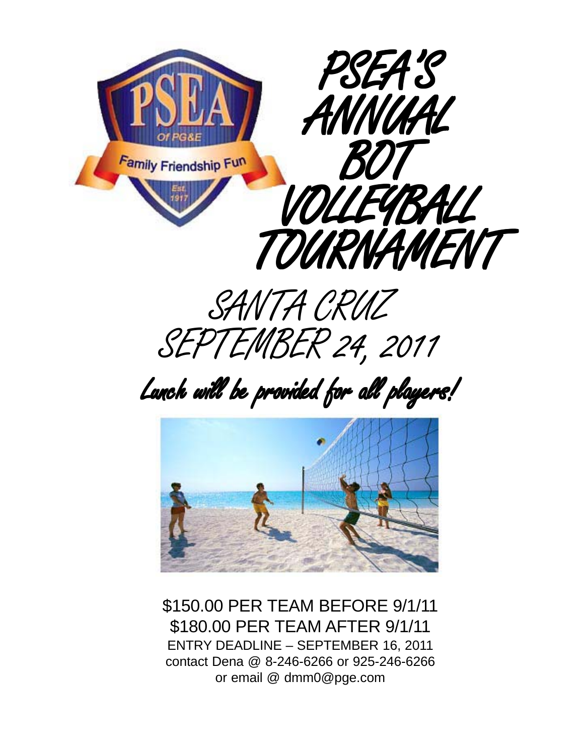



Lunch will be provided for all players!



\$150.00 PER TEAM BEFORE 9/1/11 \$180.00 PER TEAM AFTER 9/1/11 ENTRY DEADLINE – SEPTEMBER 16, 2011 contact Dena @ 8-246-6266 or 925-246-6266 or email @ dmm0@pge.com